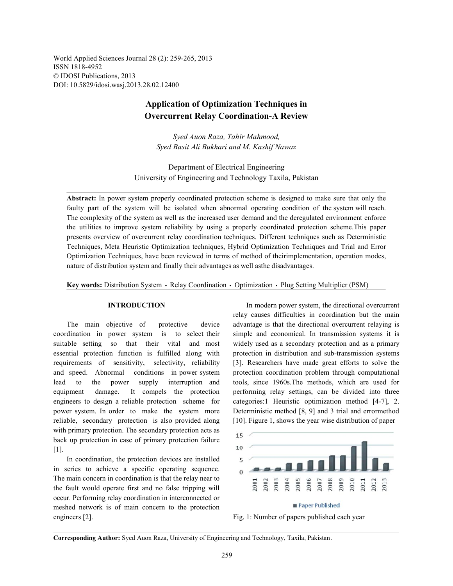World Applied Sciences Journal 28 (2): 259-265, 2013 ISSN 1818-4952 © IDOSI Publications, 2013 DOI: 10.5829/idosi.wasj.2013.28.02.12400

# **Application of Optimization Techniques in Overcurrent Relay Coordination-A Review**

*Syed Auon Raza, Tahir Mahmood, Syed Basit Ali Bukhari and M. Kashif Nawaz*

Department of Electrical Engineering University of Engineering and Technology Taxila, Pakistan

**Abstract:** In power system properly coordinated protection scheme is designed to make sure that only the faulty part of the system will be isolated when abnormal operating condition of the system will reach. The complexity of the system as well as the increased user demand and the deregulated environment enforce the utilities to improve system reliability by using a properly coordinated protection scheme.This paper presents overview of overcurrent relay coordination techniques. Different techniques such as Deterministic Techniques, Meta Heuristic Optimization techniques, Hybrid Optimization Techniques and Trial and Error Optimization Techniques, have been reviewed in terms of method of theirimplementation, operation modes, nature of distribution system and finally their advantages as well asthe disadvantages.

Key words: Distribution System · Relay Coordination · Optimization · Plug Setting Multiplier (PSM)

coordination in power system is to select their simple and economical. In transmission systems it is suitable setting so that their vital and most widely used as a secondary protection and as a primary essential protection function is fulfilled along with protection in distribution and sub-transmission systems requirements of sensitivity, selectivity, reliability [3]. Researchers have made great efforts to solve the and speed. Abnormal conditions in power system protection coordination problem through computational lead to the power supply interruption and tools, since 1960s.The methods, which are used for equipment damage. It compels the protection performing relay settings, can be divided into three engineers to design a reliable protection scheme for categories:1 Heuristic optimization method [4-7], 2. power system. In order to make the system more Deterministic method [8, 9] and 3 trial and errormethod reliable, secondary protection is also provided along [10]. Figure 1, shows the year wise distribution of paper with primary protection. The secondary protection acts as back up protection in case of primary protection failure [1].

In coordination, the protection devices are installed in series to achieve a specific operating sequence. The main concern in coordination is that the relay near to the fault would operate first and no false tripping will occur. Performing relay coordination in interconnected or meshed network is of main concern to the protection engineers [2]. Fig. 1: Number of papers published each year and the Fig. 1: Number of papers published each year

**INTRODUCTION** In modern power system, the directional overcurrent The main objective of protective device advantage is that the directional overcurrent relaying is relay causes difficulties in coordination but the main







**Corresponding Author:** Syed Auon Raza, University of Engineering and Technology, Taxila, Pakistan.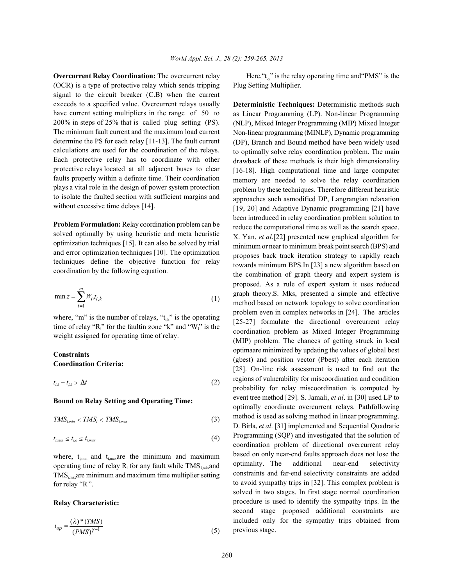(OCR) is a type of protective relay which sends tripping signal to the circuit breaker (C.B) when the current exceeds to a specified value. Overcurrent relays usually have current setting multipliers in the range of 50 to 200% in steps of 25% that is called plug setting (PS). The minimum fault current and the maximum load current determine the PS for each relay [11-13]. The fault current calculations are used for the coordination of the relays. Each protective relay has to coordinate with other protective relays located at all adjacent buses to clear faults properly within a definite time. Their coordination plays a vital role in the design of power system protection to isolate the faulted section with sufficient margins and without excessive time delays [14].

**Problem Formulation:** Relay coordination problem can be solved optimally by using heuristic and meta heuristic optimization techniques [15]. It can also be solved by trial and error optimization techniques [10]. The optimization techniques define the objective function for relay coordination by the following equation.

$$
\min z = \sum_{i=1}^{m} W_i t_{i,k} \tag{1}
$$

where, "m" is the number of relays, " $t_{ik}$ " is the operating time of relay " $R_i$ " for the faultin zone "k" and " $W_i$ " is the weight assigned for operating time of relay.

## **Constraints Coordination Criteria:**

$$
t_{i,k} - t_{j,k} \ge \Delta t \tag{2}
$$

### **Bound on Relay Setting and Operating Time:**

$$
TMS_{i,min} \leq TMS_i \leq TMS_{i,max} \tag{3}
$$

$$
t_{i,min} \leq t_{i,k} \leq t_{i,max} \tag{4}
$$

where,  $t_{\text{imin}}$  and  $t_{\text{imax}}$  are the minimum and maximum operating time of relay  $R_i$  for any fault while TMS  $_{i,min}$  and  $TMS$ <sub>i,max</sub>are minimum and maximum time multiplier setting for relay " $R_i$ ".

### **Relay Characteristic:**

$$
t_{op} = \frac{(\lambda)^* (TMS)}{(PMS)^{\gamma - 1}}\tag{5}
$$

**Overcurrent Relay Coordination:** The overcurrent relay Here, "t<sub>op</sub>" is the relay operating time and "PMS" is the Plug Setting Multiplier.

> **Deterministic Techniques:** Deterministic methods such as Linear Programming (LP). Non-linear Programming (NLP), Mixed Integer Programming (MIP) Mixed Integer Non-linear programming (MINLP), Dynamic programming (DP), Branch and Bound method have been widely used to optimally solve relay coordination problem. The main drawback of these methods is their high dimensionality [16-18]. High computational time and large computer memory are needed to solve the relay coordination problem by these techniques. Therefore different heuristic approaches such asmodified DP, Langrangian relaxation [19, 20] and Adaptive Dynamic programming [21] have been introduced in relay coordination problem solution to reduce the computational time as well as the search space. X. Yan, *et al*.[22] presented new graphical algorithm for minimum or near to minimum break point search (BPS) and proposes back track iteration strategy to rapidly reach towards minimum BPS.In [23] a new algorithm based on the combination of graph theory and expert system is proposed. As a rule of expert system it uses reduced graph theory.S. Mks, presented a simple and effective method based on network topology to solve coordination problem even in complex networks in [24]. The articles [25-27] formulate the directional overcurrent relay coordination problem as Mixed Integer Programming (MIP) problem. The chances of getting struck in local optimaare minimized by updating the values of global best (gbest) and position vector (Pbest) after each iteration [28]. On-line risk assessment is used to find out the regions of vulnerability for miscoordination and condition probability for relay miscoordination is computed by event tree method [29]. S. Jamali, *et al*. in [30] used LP to optimally coordinate overcurrent relays. Pathfollowing method is used as solving method in linear programming. D. Birla, *et al*. [31] implemented and Sequential Quadratic Programming (SQP) and investigated that the solution of coordination problem of directional overcurrent relay based on only near-end faults approach does not lose the optimality. The additional near-end selectivity constraints and far-end selectivity constraints are added to avoid sympathy trips in [32]. This complex problem is solved in two stages. In first stage normal coordination procedure is used to identify the sympathy trips. In the second stage proposed additional constraints are included only for the sympathy trips obtained from previous stage.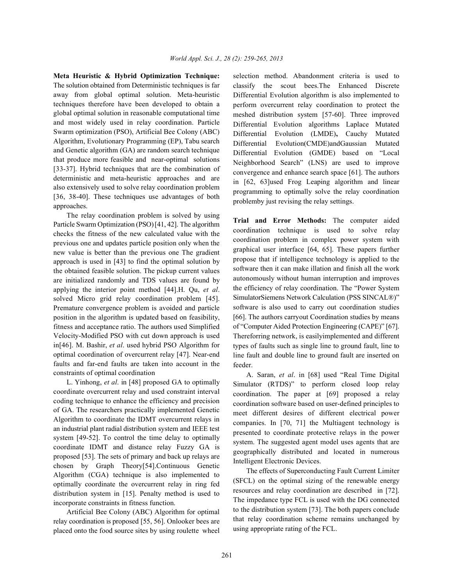The solution obtained from Deterministic techniques is far away from global optimal solution. Meta-heuristic techniques therefore have been developed to obtain a global optimal solution in reasonable computational time and most widely used in relay coordination. Particle Swarm optimization (PSO), Artificial Bee Colony (ABC) Algorithm, Evolutionary Programming (EP), Tabu search and Genetic algorithm (GA) are random search technique that produce more feasible and near-optimal solutions [33-37]. Hybrid techniques that are the combination of deterministic and meta-heuristic approaches and are also extensively used to solve relay coordination problem [36, 38-40]. These techniques use advantages of both approaches.

The relay coordination problem is solved by using Particle Swarm Optimization (PSO) [41, 42]. The algorithm checks the fitness of the new calculated value with the previous one and updates particle position only when the new value is better than the previous one The gradient approach is used in [43] to find the optimal solution by the obtained feasible solution. The pickup current values are initialized randomly and TDS values are found by applying the interior point method [44].H. Qu, *et al*. solved Micro grid relay coordination problem [45]. Premature convergence problem is avoided and particle position in the algorithm is updated based on feasibility, fitness and acceptance ratio. The authors used Simplified Velocity-Modified PSO with cut down approach is used in[46]. M. Bashir, *et al*. used hybrid PSO Algorithm for optimal coordination of overcurrent relay [47]. Near-end faults and far-end faults are taken into account in the constraints of optimal coordination

L. Yinhong, *et al*. in [48] proposed GA to optimally coordinate overcurrent relay and used constraint interval coding technique to enhance the efficiency and precision of GA. The researchers practically implemented Genetic Algorithm to coordinate the IDMT overcurrent relays in an industrial plant radial distribution system and IEEE test system [49-52]. To control the time delay to optimally coordinate IDMT and distance relay Fuzzy GA is proposed [53]. The sets of primary and back up relays are chosen by Graph Theory[54].Continuous Genetic Algorithm (CGA) technique is also implemented to optimally coordinate the overcurrent relay in ring fed distribution system in [15]. Penalty method is used to incorporate constraints in fitness function.

Artificial Bee Colony (ABC) Algorithm for optimal relay coordination is proposed [55, 56]. Onlooker bees are placed onto the food source sites by using roulette wheel

**Meta Heuristic & Hybrid Optimization Technique:** selection method. Abandonment criteria is used to classify the scout bees.The Enhanced Discrete Differential Evolution algorithm is also implemented to perform overcurrent relay coordination to protect the meshed distribution system [57-60]. Three improved Differential Evolution algorithms Laplace Mutated Differential Evolution (LMDE)**,** Cauchy Mutated Differential Evolution(CMDE)andGaussian Mutated Differential Evolution (GMDE) based on "Local Neighborhood Search" (LNS) are used to improve convergence and enhance search space [61]. The authors in [62, 63]used Frog Leaping algorithm and linear programming to optimally solve the relay coordination problemby just revising the relay settings.

> **Trial and Error Methods:** The computer aided coordination technique is used to solve relay coordination problem in complex power system with graphical user interface [64, 65]. These papers further propose that if intelligence technology is applied to the software then it can make illation and finish all the work autonomously without human interruption and improves the efficiency of relay coordination. The "Power System SimulatorSiemens Network Calculation (PSS SINCAL®)" software is also used to carry out coordination studies [66]. The authors carryout Coordination studies by means of "Computer Aided Protection Engineering (CAPE)" [67]. Thereforring network, is easilyimplemented and different types of faults such as single line to ground fault, line to line fault and double line to ground fault are inserted on feeder.

> A. Saran, *et al*. in [68] used "Real Time Digital Simulator (RTDS)" to perform closed loop relay coordination. The paper at [69] proposed a relay coordination software based on user-defined principles to meet different desires of different electrical power companies. In [70, 71] the Multiagent technology is presented to coordinate protective relays in the power system. The suggested agent model uses agents that are geographically distributed and located in numerous Intelligent Electronic Devices.

> The effects of Superconducting Fault Current Limiter (SFCL) on the optimal sizing of the renewable energy resources and relay coordination are described in [72]. The impedance type FCL is used with the DG connected to the distribution system [73]. The both papers conclude that relay coordination scheme remains unchanged by using appropriate rating of the FCL.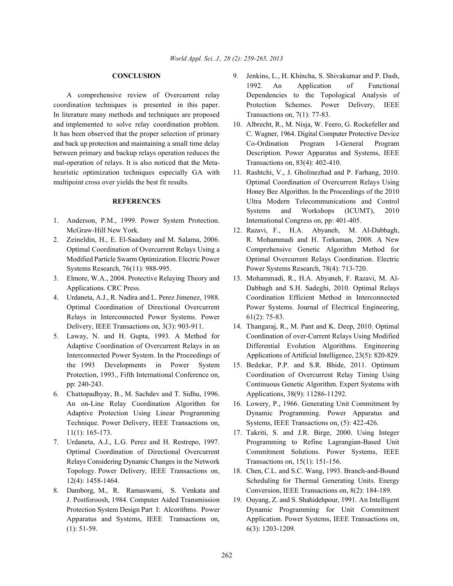coordination techniques is presented in this paper. Protection Schemes. Power Delivery, IEEE In literature many methods and techniques are proposed Transactions on, 7(1): 77-83. and implemented to solve relay coordination problem. 10. Albrecht, R., M. Nisja, W. Feero, G. Rockefeller and mal-operation of relays. It is also noticed that the Meta- Transactions on, 83(4): 402-410. heuristic optimization techniques especially GA with 11. Rashtchi, V., J. Gholinezhad and P. Farhang, 2010.

- 1. Anderson, P.M., 1999. Power System Protection. International Congress on, pp: 401-405.
- Systems Research, 76(11): 988-995. Power Systems Research, 78(4): 713-720.
- 3. Elmore, W.A., 2004. Protective Relaying Theory and 13. Mohammadi, R., H.A. Abyaneh, F. Razavi, M. Al-
- Relays in Interconnected Power Systems. Power 61(2): 75-83. Delivery, IEEE Transactions on, 3(3): 903-911. 14. Thangaraj, R., M. Pant and K. Deep, 2010. Optimal
- the 1993 Developments in Power System 15. Bedekar, P.P. and S.R. Bhide, 2011. Optimum
- 6. Chattopadhyay, B., M. Sachdev and T. Sidhu, 1996. Applications, 38(9): 11286-11292. An on-Line Relay Coordination Algorithm for 16. Lowery, P., 1966. Generating Unit Commitment by Technique. Power Delivery, IEEE Transactions on, Systems, IEEE Transactions on, (5): 422-426.
- Relays Considering Dynamic Changes in the Network Transactions on, 15(1): 151-156.
- J. Postforoosh, 1984. Computer Aided Transmission 19. Ouyang, Z. and S. Shahidehpour, 1991. An Intelligent (1): 51-59. 6(3): 1203-1209.
- **CONCLUSION** 9. Jenkins, L., H. Khincha, S. Shivakumar and P. Dash, A comprehensive review of Overcurrent relay Dependencies to the Topological Analysis of 1992. An Application of Functional
- It has been observed that the proper selection of primary C. Wagner, 1964. Digital Computer Protective Device and back up protection and maintaining a small time delay Co-Ordination Program I-General Program between primary and backup relays operation reduces the Description. Power Apparatus and Systems, IEEE
- multipoint cross over yields the best fit results. Optimal Coordination of Overcurrent Relays Using **REFERENCES** Ultra Modern Telecommunications and Control Honey Bee Algorithm. In the Proceedings of the 2010 Systems and Workshops (ICUMT), 2010
- McGraw-Hill New York. 12. Razavi, F., H.A. Abyaneh, M. Al-Dabbagh, 2. Zeineldin, H., E. El-Saadany and M. Salama, 2006. R. Mohammadi and H. Torkaman, 2008. A New Optimal Coordination of Overcurrent Relays Using a Comprehensive Genetic Algorithm Method for Modified Particle Swarm Optimization. Electric Power Optimal Overcurrent Relays Coordination. Electric
- Applications. CRC Press. Dabbagh and S.H. Sadeghi, 2010. Optimal Relays 4. Urdaneta, A.J., R. Nadira and L. Perez Jimenez, 1988. Coordination Efficient Method in Interconnected Optimal Coordination of Directional Overcurrent Power Systems. Journal of Electrical Engineering,
- 5. Laway, N. and H. Gupta, 1993. A Method for Coordination of over-Current Relays Using Modified Adaptive Coordination of Overcurrent Relays in an Differential Evolution Algorithms. Engineering Interconnected Power System. In the Proceedings of Applications of Artificial Intelligence, 23(5): 820-829.
	- Protection, 1993., Fifth International Conference on, Coordination of Overcurrent Relay Timing Using pp: 240-243. Continuous Genetic Algorithm. Expert Systems with
	- Adaptive Protection Using Linear Programming Dynamic Programming. Power Apparatus and
- 11(1): 165-173. 17. Takriti, S. and J.R. Birge, 2000. Using Integer 7. Urdaneta, A.J., L.G. Perez and H. Restrepo, 1997. Programming to Refine Lagrangian-Based Unit Optimal Coordination of Directional Overcurrent Commitment Solutions. Power Systems, IEEE
- Topology. Power Delivery, IEEE Transactions on, 18. Chen, C.L. and S.C. Wang, 1993. Branch-and-Bound 12(4): 1458-1464. Scheduling for Thermal Generating Units. Energy 8. Damborg, M., R. Ramaswami, S. Venkata and Conversion, IEEE Transactions on, 8(2): 184-189.
	- Protection System Design Part I: Alcorithms. Power Dynamic Programming for Unit Commitment Apparatus and Systems, IEEE Transactions on, Application. Power Systems, IEEE Transactions on,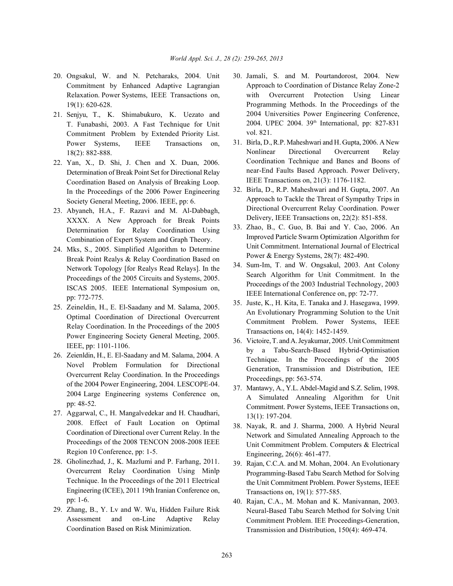- 20. Ongsakul, W. and N. Petcharaks, 2004. Unit 30. Jamali, S. and M. Pourtandorost, 2004. New Commitment by Enhanced Adaptive Lagrangian Relaxation. Power Systems, IEEE Transactions on, 19(1): 620-628.
- 21. Senjyu, T., K. Shimabukuro, K. Uezato and T. Funabashi, 2003. A Fast Technique for Unit Commitment Problem by Extended Priority List. Power Systems, IEEE Transactions on, 18(2): 882-888.
- 22. Yan, X., D. Shi, J. Chen and X. Duan, 2006. Determination of Break Point Set for Directional Relay Coordination Based on Analysis of Breaking Loop. In the Proceedings of the 2006 Power Engineering Society General Meeting, 2006. IEEE, pp: 6.
- 23. Abyaneh, H.A., F. Razavi and M. Al-Dabbagh, XXXX. A New Approach for Break Points Determination for Relay Coordination Using Combination of Expert System and Graph Theory.
- 24. Mks, S., 2005. Simplified Algorithm to Determine Break Point Realys & Relay Coordination Based on Network Topology [for Realys Read Relays]. In the Proceedings of the 2005 Circuits and Systems, 2005. ISCAS 2005. IEEE International Symposium on, pp: 772-775.
- 25. Zeineldin, H., E. El-Saadany and M. Salama, 2005. Optimal Coordination of Directional Overcurrent Relay Coordination. In the Proceedings of the 2005 Power Engineering Society General Meeting, 2005. IEEE, pp: 1101-1106.
- 26. Zeienldin, H., E. El-Saadany and M. Salama, 2004. A Novel Problem Formulation for Directional Overcurrent Relay Coordination. In the Proceedings of the 2004 Power Engineering, 2004. LESCOPE-04. 2004 Large Engineering systems Conference on, pp: 48-52.
- 27. Aggarwal, C., H. Mangalvedekar and H. Chaudhari, 2008. Effect of Fault Location on Optimal Coordination of Directional over Current Relay. In the Proceedings of the 2008 TENCON 2008-2008 IEEE Region 10 Conference, pp: 1-5.
- 28. Gholinezhad, J., K. Mazlumi and P. Farhang, 2011. Overcurrent Relay Coordination Using Minlp Technique. In the Proceedings of the 2011 Electrical Engineering (ICEE), 2011 19th Iranian Conference on, pp: 1-6.
- 29. Zhang, B., Y. Lv and W. Wu, Hidden Failure Risk Assessment and on-Line Adaptive Relay Coordination Based on Risk Minimization.
- Approach to Coordination of Distance Relay Zone-2 with Overcurrent Protection Using Linear Programming Methods. In the Proceedings of the 2004 Universities Power Engineering Conference, 2004. UPEC 2004. 39<sup>th</sup> International, pp: 827-831 vol. 821.
- 31. Birla, D., R.P. Maheshwari and H. Gupta, 2006. A New Nonlinear Directional Overcurrent Relay Coordination Technique and Banes and Boons of near-End Faults Based Approach. Power Delivery, IEEE Transactions on, 21(3): 1176-1182.
- 32. Birla, D., R.P. Maheshwari and H. Gupta, 2007. An Approach to Tackle the Threat of Sympathy Trips in Directional Overcurrent Relay Coordination. Power Delivery, IEEE Transactions on, 22(2): 851-858.
- 33. Zhao, B., C. Guo, B. Bai and Y. Cao, 2006. An Improved Particle Swarm Optimization Algorithm for Unit Commitment. International Journal of Electrical Power & Energy Systems, 28(7): 482-490.
- 34. Sum-Im, T. and W. Ongsakul, 2003. Ant Colony Search Algorithm for Unit Commitment. In the Proceedings of the 2003 Industrial Technology, 2003 IEEE International Conference on, pp: 72-77.
- 35. Juste, K., H. Kita, E. Tanaka and J. Hasegawa, 1999. An Evolutionary Programming Solution to the Unit Commitment Problem. Power Systems, IEEE Transactions on, 14(4): 1452-1459.
- 36. Victoire, T. and A. Jeyakumar, 2005. Unit Commitment by a Tabu-Search-Based Hybrid-Optimisation Technique. In the Proceedings of the 2005 Generation, Transmission and Distribution, IEE Proceedings, pp: 563-574.
- 37. Mantawy, A., Y.L. Abdel-Magid and S.Z. Selim, 1998. A Simulated Annealing Algorithm for Unit Commitment. Power Systems, IEEE Transactions on, 13(1): 197-204.
- 38. Nayak, R. and J. Sharma, 2000. A Hybrid Neural Network and Simulated Annealing Approach to the Unit Commitment Problem. Computers & Electrical Engineering, 26(6): 461-477.
- 39. Rajan, C.C.A. and M. Mohan, 2004. An Evolutionary Programming-Based Tabu Search Method for Solving the Unit Commitment Problem. Power Systems, IEEE Transactions on, 19(1): 577-585.
- 40. Rajan, C.A., M. Mohan and K. Manivannan, 2003. Neural-Based Tabu Search Method for Solving Unit Commitment Problem. IEE Proceedings-Generation, Transmission and Distribution, 150(4): 469-474.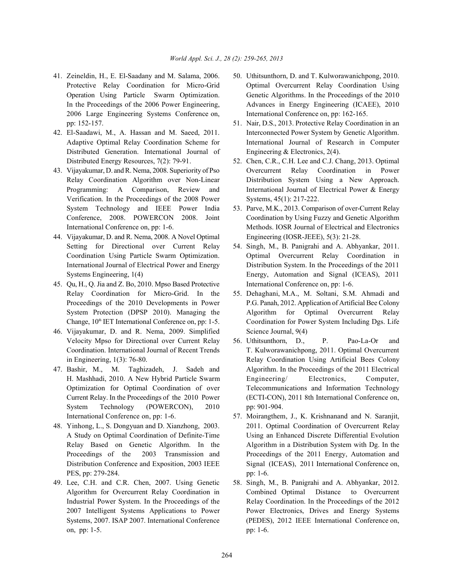- 2006 Large Engineering Systems Conference on, International Conference on, pp: 162-165. pp: 152-157. 51. Nair, D.S., 2013. Protective Relay Coordination in an
- Distributed Generation. International Journal of Engineering & Electronics, 2(4). Distributed Energy Resources, 7(2): 79-91. 52. Chen, C.R., C.H. Lee and C.J. Chang, 2013. Optimal
- Verification. In the Proceedings of the 2008 Power Systems, 45(1): 217-222. System Technology and IEEE Power India 53. Parve, M.K., 2013. Comparison of over-Current Relay
- 44. Vijayakumar, D. and R. Nema, 2008. A Novel Optimal Engineering (IOSR-JEEE), 5(3): 21-28. Setting for Directional over Current Relay 54. Singh, M., B. Panigrahi and A. Abhyankar, 2011.
- 45. Qu, H., Q. Jia and Z. Bo, 2010. Mpso Based Protective International Conference on, pp: 1-6. Relay Coordination for Micro-Grid. In the 55. Dehaghani, M.A., M. Soltani, S.M. Ahmadi and
- 46. Vijayakumar, D. and R. Nema, 2009. Simplified Science Journal, 9(4)
- System Technology (POWERCON), 2010 pp: 901-904.
- PES, pp: 279-284. pp: 1-6.
- on, pp: 1-5. pp: 1-6.
- 41. Zeineldin, H., E. El-Saadany and M. Salama, 2006. 50. Uthitsunthorn, D. and T. Kulworawanichpong, 2010. Protective Relay Coordination for Micro-Grid Optimal Overcurrent Relay Coordination Using Operation Using Particle Swarm Optimization. Genetic Algorithms. In the Proceedings of the 2010 In the Proceedings of the 2006 Power Engineering, Advances in Energy Engineering (ICAEE), 2010
- 42. El-Saadawi, M., A. Hassan and M. Saeed, 2011. Interconnected Power System by Genetic Algorithm. Adaptive Optimal Relay Coordination Scheme for International Journal of Research in Computer
- 43. Vijayakumar, D. and R. Nema, 2008. Superiority of Pso Overcurrent Relay Coordination in Power Relay Coordination Algorithm over Non-Linear Distribution System Using a New Approach. Programming: A Comparison, Review and International Journal of Electrical Power & Energy
	- Conference, 2008. POWERCON 2008. Joint Coordination by Using Fuzzy and Genetic Algorithm International Conference on, pp: 1-6. Methods. IOSR Journal of Electrical and Electronics
	- Coordination Using Particle Swarm Optimization. Optimal Overcurrent Relay Coordination in International Journal of Electrical Power and Energy Distribution System. In the Proceedings of the 2011 Systems Engineering, 1(4) Energy, Automation and Signal (ICEAS), 2011
	- Proceedings of the 2010 Developments in Power P.G. Panah, 2012. Application of Artificial Bee Colony System Protection (DPSP 2010). Managing the Algorithm for Optimal Overcurrent Relay Change,  $10^{th}$  IET International Conference on, pp: 1-5. Coordination for Power System Including Dgs. Life
- Velocity Mpso for Directional over Current Relay 56. Uthitsunthorn, D., P. Pao-La-Or and Coordination. International Journal of Recent Trends T. Kulworawanichpong, 2011. Optimal Overcurrent in Engineering, 1(3): 76-80. Relay Coordination Using Artificial Bees Colony 47. Bashir, M., M. Taghizadeh, J. Sadeh and Algorithm. In the Proceedings of the 2011 Electrical H. Mashhadi, 2010. A New Hybrid Particle Swarm Engineering/ Electronics, Computer, Optimization for Optimal Coordination of over Telecommunications and Information Technology Current Relay. In the Proceedings of the 2010 Power (ECTI-CON), 2011 8th International Conference on,
- International Conference on, pp: 1-6. 57. Moirangthem, J., K. Krishnanand and N. Saranjit, 48. Yinhong, L., S. Dongyuan and D. Xianzhong, 2003. 2011. Optimal Coordination of Overcurrent Relay A Study on Optimal Coordination of Definite-Time Using an Enhanced Discrete Differential Evolution Relay Based on Genetic Algorithm. In the Algorithm in a Distribution System with Dg. In the Proceedings of the 2003 Transmission and Proceedings of the 2011 Energy, Automation and Distribution Conference and Exposition, 2003 IEEE Signal (ICEAS), 2011 International Conference on,
- 49. Lee, C.H. and C.R. Chen, 2007. Using Genetic 58. Singh, M., B. Panigrahi and A. Abhyankar, 2012. Algorithm for Overcurrent Relay Coordination in Combined Optimal Distance to Overcurrent Industrial Power System. In the Proceedings of the Relay Coordination. In the Proceedings of the 2012 2007 Intelligent Systems Applications to Power Power Electronics, Drives and Energy Systems Systems, 2007. ISAP 2007. International Conference (PEDES), 2012 IEEE International Conference on,